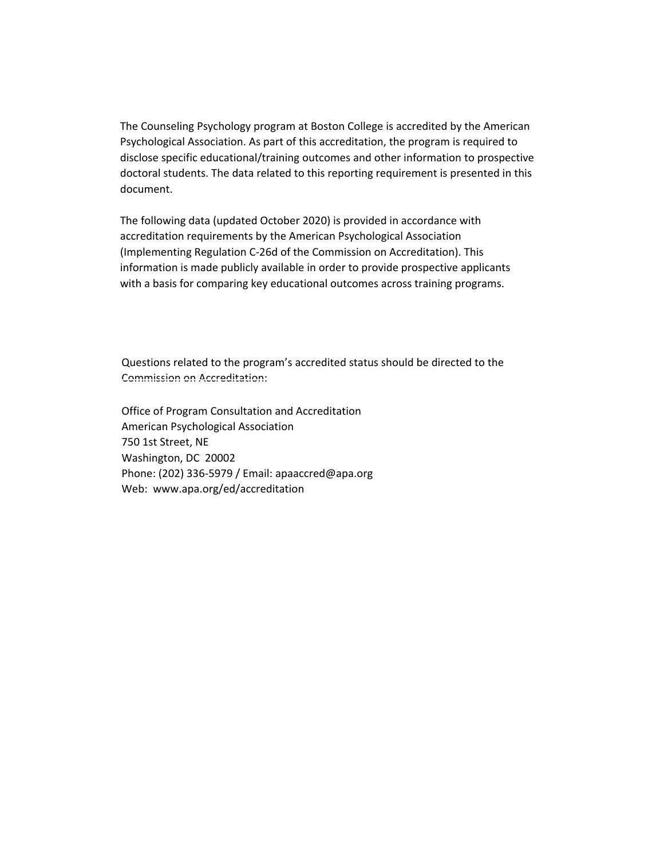The Counseling Psychology program at Boston College is accredited by the American Psychological Association. As part of this accreditation, the program is required to disclose specific educational/training outcomes and other information to prospective doctoral students. The data related to this reporting requirement is presented in this document.

The following data (updated October 2020) is provided in accordance with accreditation requirements by the American Psychological Association (Implementing Regulation C-26d of the Commission on Accreditation). This information is made publicly available in order to provide prospective applicants with a basis for comparing key educational outcomes across training programs.

Questions related to the program's accredited status should be directed to the Commission on Accreditation:

Office of Program Consultation and Accreditation American Psychological Association 750 1st Street, NE Washington, DC 20002 Phone: (202) 336‐5979 / Email: apaaccred@apa.org Web: www.apa.org/ed/accreditation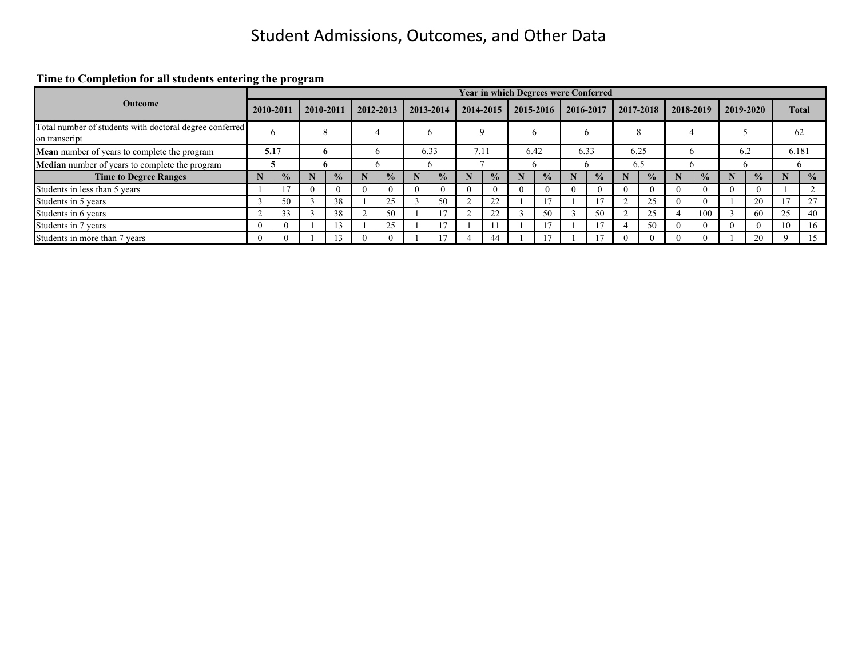**Time to Completion for all students entering the program**

|                                                                          |           |      |           |                      |           |                |   |               |          |               |      | <b>Year in which Degrees were Conferred</b> |   |               |      |               |   |               |     |               |              |               |  |
|--------------------------------------------------------------------------|-----------|------|-----------|----------------------|-----------|----------------|---|---------------|----------|---------------|------|---------------------------------------------|---|---------------|------|---------------|---|---------------|-----|---------------|--------------|---------------|--|
| <b>Outcome</b>                                                           | 2010-2011 |      | 2010-2011 |                      | 2012-2013 |                |   | 2013-2014     |          | 2014-2015     |      | 2015-2016                                   |   | 2016-2017     |      | 2017-2018     |   | 2018-2019     |     | 2019-2020     |              | <b>Total</b>  |  |
| Total number of students with doctoral degree conferred<br>on transcript |           |      |           | $\Omega$<br>$\Delta$ |           | $\overline{a}$ |   | o             |          |               |      | h                                           |   | <sub>0</sub>  |      | $\circ$<br>δ. |   |               |     |               |              | 62            |  |
| <b>Mean</b> number of years to complete the program                      |           | 5.17 |           | Ð                    |           | h              |   | 6.33          |          | 7.11          | 6.42 |                                             |   | 6.33          | 6.25 |               | n |               | 6.2 |               |              | 6.181         |  |
| Median number of years to complete the program                           |           | э    |           | n                    | O         |                |   |               |          |               |      |                                             | n |               | 6.5  |               | n |               | n   |               | <sub>0</sub> |               |  |
| <b>Time to Degree Ranges</b>                                             |           | $\%$ |           | $\frac{0}{2}$        |           | $\frac{6}{9}$  |   | $\frac{0}{0}$ |          | $\frac{0}{2}$ |      | $\frac{0}{2}$                               |   | $\frac{0}{0}$ |      | $\frac{0}{0}$ |   | $\frac{0}{2}$ |     | $\frac{0}{0}$ |              | $\frac{0}{0}$ |  |
| Students in less than 5 years                                            |           |      |           |                      |           | $\Omega$       | U |               | $\theta$ |               |      | $\theta$                                    |   |               |      |               |   |               |     |               |              |               |  |
| Students in 5 years                                                      |           | 50   |           | 38                   |           | 25             |   | 50            |          | 22            |      |                                             |   |               |      | 25            |   | $\Omega$      |     | 20            | 17           | 27            |  |
| Students in 6 years                                                      |           | 33   |           | 38                   |           | 50             |   |               |          | 22            |      | 50                                          |   | 50            |      | 25            |   | 100           |     | 60            | 25           | 40            |  |
| Students in 7 years                                                      |           |      |           | $1^{\circ}$          |           | 25             |   |               |          |               |      |                                             |   |               |      | 50            |   | $\Omega$      |     |               | 10           | 16            |  |
| Students in more than 7 years                                            |           |      |           |                      |           | $\Omega$       |   |               |          | 44            |      |                                             |   |               |      | $\Omega$      |   |               |     | 20            |              | 15            |  |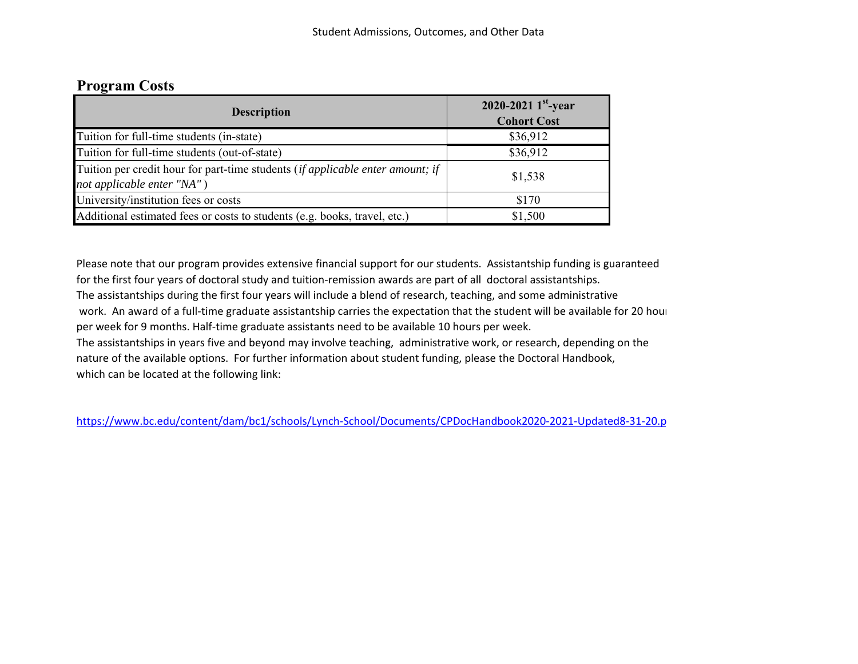# **Program Costs**

| <b>Description</b>                                                                                                           | 2020-2021 $1^{st}$ -year<br><b>Cohort Cost</b> |
|------------------------------------------------------------------------------------------------------------------------------|------------------------------------------------|
| Tuition for full-time students (in-state)                                                                                    | \$36,912                                       |
| Tuition for full-time students (out-of-state)                                                                                | \$36,912                                       |
| Tuition per credit hour for part-time students ( <i>if applicable enter amount</i> ; <i>if</i><br>not applicable enter "NA") | \$1,538                                        |
| University/institution fees or costs                                                                                         | \$170                                          |
| Additional estimated fees or costs to students (e.g. books, travel, etc.)                                                    | \$1,500                                        |

Please note that our program provides extensive financial support for our students. Assistantship funding is guaranteed for the first four years of doctoral study and tuition-remission awards are part of all doctoral assistantships. The assistantships during the first four years will include a blend of research, teaching, and some administrative work. An award of a full-time graduate assistantship carries the expectation that the student will be available for 20 hour per week for 9 months. Half-time graduate assistants need to be available 10 hours per week. The assistantships in years five and beyond may involve teaching, administrative work, or research, depending on the

nature of the available options. For further information about student funding, please the Doctoral Handbook, which can be located at the following link:

https://www.bc.edu/content/dam/bc1/schools/Lynch‐School/Documents/CPDocHandbook2020‐2021‐Updated8‐31‐20.p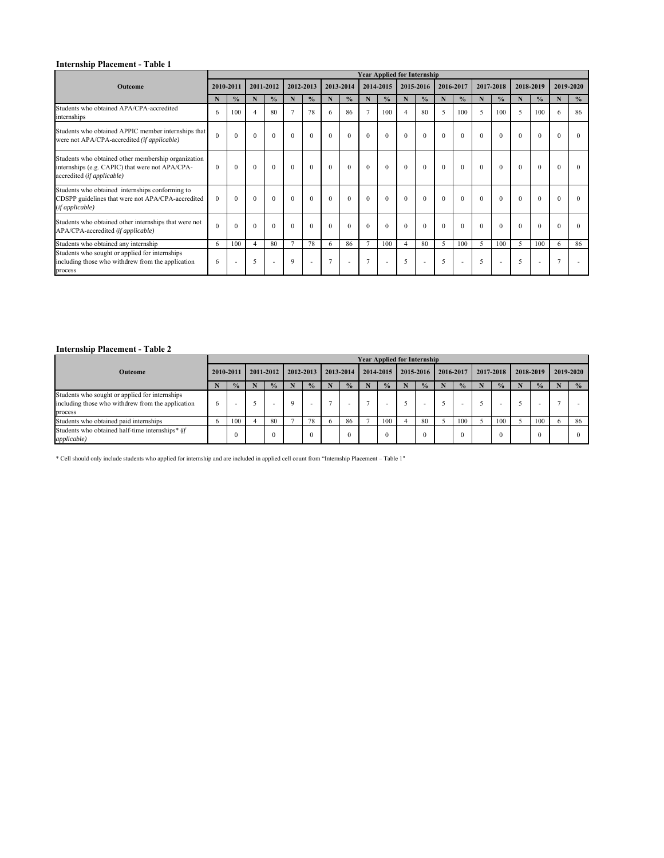### **Internship Placement - Table 1**

|                                                                                                                                      |           |               |                |               |                |               |          |                          |          | <b>Year Applied for Internship</b> |                |               |          |               |          |               |           |               |                |               |
|--------------------------------------------------------------------------------------------------------------------------------------|-----------|---------------|----------------|---------------|----------------|---------------|----------|--------------------------|----------|------------------------------------|----------------|---------------|----------|---------------|----------|---------------|-----------|---------------|----------------|---------------|
| <b>Outcome</b>                                                                                                                       | 2010-2011 |               |                | 2011-2012     |                | 2012-2013     |          | 2013-2014                |          | 2014-2015                          |                | 2015-2016     |          | 2016-2017     |          | 2017-2018     | 2018-2019 |               | 2019-2020      |               |
|                                                                                                                                      |           | $\frac{0}{0}$ | N              | $\frac{0}{0}$ | N              | $\frac{0}{0}$ | N        | $\frac{0}{0}$            | N        | $\frac{0}{0}$                      | N              | $\frac{0}{0}$ | N        | $\frac{0}{0}$ | N        | $\frac{0}{0}$ | N         | $\frac{0}{0}$ | N              | $\frac{0}{0}$ |
| Students who obtained APA/CPA-accredited<br>internships                                                                              | 6         | 100           | $\overline{4}$ | 80            |                | 78            | 6        | 86                       |          | 100                                | $\overline{4}$ | 80            | 5        | 100           | 5        | 100           | 5         | 100           | 6              | 86            |
| Students who obtained APPIC member internships that<br>were not APA/CPA-accredited (if applicable)                                   | $\Omega$  | $\theta$      | $\Omega$       | $\Omega$      | $\Omega$       | $\theta$      | $\theta$ | $\Omega$                 | $\Omega$ | $\theta$                           | $\Omega$       | $\Omega$      | $\Omega$ | $\Omega$      | $\theta$ | $\Omega$      | $\theta$  | $\theta$      | $\Omega$       | $\Omega$      |
| Students who obtained other membership organization<br>internships (e.g. CAPIC) that were not APA/CPA-<br>accredited (if applicable) | $\Omega$  | $\mathbf{0}$  | $\Omega$       | $\Omega$      | $\theta$       | $\theta$      | $\theta$ | $\theta$                 | $\Omega$ | $\theta$                           | $\Omega$       | $\Omega$      | $\theta$ | $\Omega$      | $\theta$ | $\theta$      | $\theta$  | $\theta$      | $\Omega$       |               |
| Students who obtained internships conforming to<br>CDSPP guidelines that were not APA/CPA-accredited<br>(if applicable)              | $\Omega$  | $\Omega$      | $\theta$       | $\Omega$      | $\Omega$       | $\theta$      | $\Omega$ | $\Omega$                 | $\Omega$ | $\theta$                           | $\Omega$       | $\Omega$      | $\theta$ | $\Omega$      | $\Omega$ | $\Omega$      | $\theta$  | $\Omega$      | $\Omega$       |               |
| Students who obtained other internships that were not<br>APA/CPA-accredited (if applicable)                                          |           | $\theta$      | $\Omega$       | $\Omega$      | $\Omega$       | $\Omega$      | $\Omega$ | $\Omega$                 | $\Omega$ | $\theta$                           | $\Omega$       | $\theta$      | $\Omega$ | $\Omega$      | $\Omega$ | $\Omega$      | $\Omega$  | $\Omega$      | $\Omega$       |               |
| Students who obtained any internship                                                                                                 | 6         | 100           | $\overline{4}$ | 80            | $\overline{7}$ | 78            | 6        | 86                       |          | 100                                | $\overline{4}$ | 80            | 5        | 100           | 5        | 100           | 5         | 100           | 6              | 86            |
| Students who sought or applied for internships<br>including those who withdrew from the application<br>process                       | 6         | ٠             | 5              | ٠             | $\mathbf Q$    | ۰             |          | $\overline{\phantom{a}}$ |          | $\overline{\phantom{a}}$           | 5              |               | 5        |               | 5        | ۰             | 5         |               | $\overline{7}$ |               |

### **Internship Placement - Table 2**

|                                                                 |   |               |  |               |  |               |  |               |  |               |  | <b>Year Applied for Internship</b> |  |           |  |                    |           |               |           |               |
|-----------------------------------------------------------------|---|---------------|--|---------------|--|---------------|--|---------------|--|---------------|--|------------------------------------|--|-----------|--|--------------------|-----------|---------------|-----------|---------------|
| Outcome                                                         |   | 2010-2011     |  | 2011-2012     |  | 2012-2013     |  | 2013-2014     |  | 2014-2015     |  | 2015-2016                          |  | 2016-2017 |  | 2017-2018          | 2018-2019 |               | 2019-2020 |               |
|                                                                 |   | $\frac{0}{2}$ |  | $\frac{0}{2}$ |  | $\frac{0}{2}$ |  | $\frac{0}{2}$ |  | $\frac{0}{2}$ |  | $\frac{0}{2}$                      |  | $\%$      |  | $\frac{0}{\alpha}$ |           | $\frac{0}{2}$ |           | $\frac{0}{2}$ |
| Students who sought or applied for internships                  |   |               |  |               |  |               |  |               |  |               |  |                                    |  |           |  |                    |           |               |           |               |
| including those who withdrew from the application               | 6 | ۰             |  |               |  |               |  |               |  |               |  |                                    |  |           |  |                    |           |               |           |               |
| process                                                         |   |               |  |               |  |               |  |               |  |               |  |                                    |  |           |  |                    |           |               |           |               |
| Students who obtained paid internships                          |   | 100           |  | 80            |  | 78            |  | 86            |  | 100           |  | 80                                 |  | 100       |  | 100                |           | 100           |           | 86            |
| Students who obtained half-time internships* (if<br>applicable) |   |               |  |               |  | $^{(1)}$      |  | $\Omega$      |  | $\Omega$      |  |                                    |  |           |  |                    |           | $\theta$      |           |               |

\* Cell should only include students who applied for internship and are included in applied cell count from "Internship Placement – Table 1"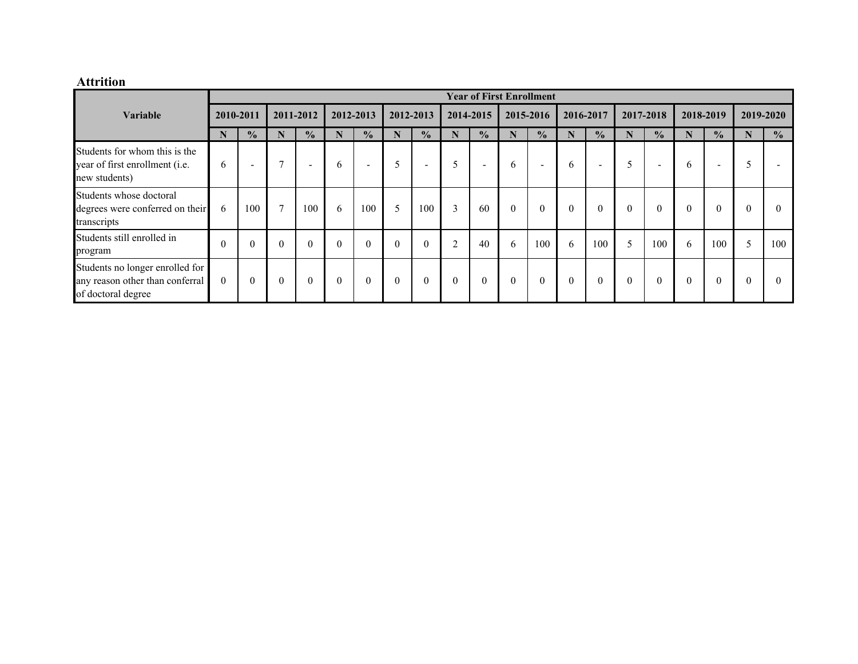#### **Attrition**

|                                                                                          |           |                          |                |                          |          |                          |          |                          |           |                          | <b>Year of First Enrollment</b> |                          |          |                          |          |                          |          |                          |           |               |
|------------------------------------------------------------------------------------------|-----------|--------------------------|----------------|--------------------------|----------|--------------------------|----------|--------------------------|-----------|--------------------------|---------------------------------|--------------------------|----------|--------------------------|----------|--------------------------|----------|--------------------------|-----------|---------------|
| <b>Variable</b>                                                                          | 2010-2011 |                          |                | 2011-2012                |          | 2012-2013                |          | 2012-2013                |           | 2014-2015                |                                 | 2015-2016                |          | 2016-2017                |          | 2017-2018                |          | 2018-2019                | 2019-2020 |               |
|                                                                                          | N         | $\frac{1}{2}$            | N              | $\frac{0}{2}$            | N        | $\frac{0}{2}$            | N        | $\frac{0}{2}$            | N         | $\frac{1}{2}$            | N                               | $\frac{0}{2}$            | N        | $\frac{0}{2}$            | N        | $\frac{0}{0}$            | N        | $\frac{0}{2}$            | N         | $\frac{0}{0}$ |
| Students for whom this is the<br>year of first enrollment (i.e.<br>new students)         | 6         | $\overline{\phantom{a}}$ | $\overline{ }$ | $\overline{\phantom{a}}$ | 6        | $\overline{\phantom{0}}$ |          | $\overline{\phantom{0}}$ | 5         | $\overline{\phantom{a}}$ | 6                               | $\overline{\phantom{0}}$ | 6        | $\overline{\phantom{a}}$ | 5        | $\overline{\phantom{0}}$ | 6        | $\overline{\phantom{a}}$ |           |               |
| Students whose doctoral<br>degrees were conferred on their<br>transcripts                | 6         | 100                      | $\mathbf{r}$   | 100                      | 6        | 100                      | 5        | 100                      | 3         | 60                       | $\Omega$                        | $\mathbf{0}$             | $\theta$ | $\theta$                 | $\theta$ | $\theta$                 | $\theta$ | $\theta$                 | $\theta$  | $\Omega$      |
| Students still enrolled in<br>program                                                    | $\Omega$  | $\theta$                 | $\Omega$       | $\theta$                 | $\Omega$ | $\theta$                 | $\Omega$ | $\theta$                 | $\bigcap$ | 40                       | 6                               | 100                      | 6        | 100                      | 5        | 100                      | 6        | 100                      | 5         | 100           |
| Students no longer enrolled for<br>any reason other than conferral<br>of doctoral degree | $\Omega$  | $\theta$                 | $\theta$       | $\theta$                 | $\theta$ | $\theta$                 | $\theta$ | $\theta$                 | $\theta$  | $\mathbf{0}$             | $\theta$                        | $\mathbf{0}$             | $\theta$ | $\theta$                 | $\theta$ | $\theta$                 | $\Omega$ | $\theta$                 | $\Omega$  | $\Omega$      |